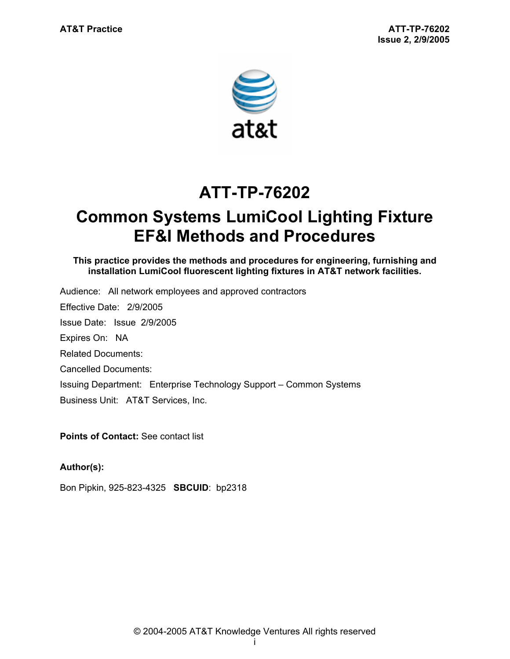

# **ATT-TP-76202**

# **Common Systems LumiCool Lighting Fixture EF&I Methods and Procedures**

**This practice provides the methods and procedures for engineering, furnishing and installation LumiCool fluorescent lighting fixtures in AT&T network facilities.** 

Audience: All network employees and approved contractors Effective Date: 2/9/2005 Issue Date: Issue 2/9/2005 Expires On: NA Related Documents: Cancelled Documents: Issuing Department: Enterprise Technology Support – Common Systems Business Unit: AT&T Services, Inc.

**Points of Contact: See contact list** 

## **Author(s):**

Bon Pipkin, 925-823-4325 **SBCUID**: bp2318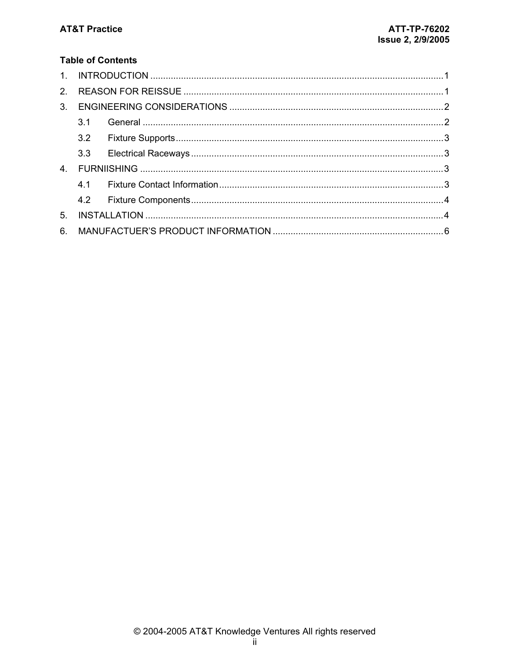## **Table of Contents**

| 2 <sub>1</sub> |     |  |  |
|----------------|-----|--|--|
| 3 <sub>1</sub> |     |  |  |
|                | 3.1 |  |  |
|                |     |  |  |
|                |     |  |  |
| 4 <sub>1</sub> |     |  |  |
|                |     |  |  |
|                |     |  |  |
| 5 <sub>1</sub> |     |  |  |
| 6.             |     |  |  |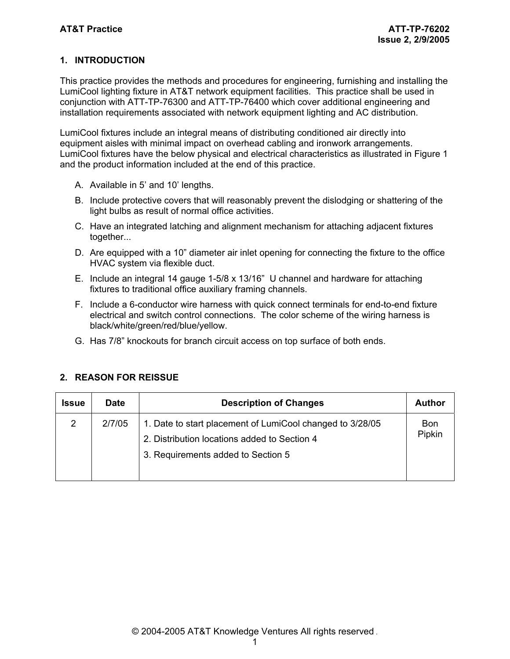### **1. INTRODUCTION**

This practice provides the methods and procedures for engineering, furnishing and installing the LumiCool lighting fixture in AT&T network equipment facilities. This practice shall be used in conjunction with ATT-TP-76300 and ATT-TP-76400 which cover additional engineering and installation requirements associated with network equipment lighting and AC distribution.

LumiCool fixtures include an integral means of distributing conditioned air directly into equipment aisles with minimal impact on overhead cabling and ironwork arrangements. LumiCool fixtures have the below physical and electrical characteristics as illustrated in Figure 1 and the product information included at the end of this practice.

- A. Available in 5' and 10' lengths.
- B. Include protective covers that will reasonably prevent the dislodging or shattering of the light bulbs as result of normal office activities.
- C. Have an integrated latching and alignment mechanism for attaching adjacent fixtures together...
- D. Are equipped with a 10" diameter air inlet opening for connecting the fixture to the office HVAC system via flexible duct.
- E. Include an integral 14 gauge 1-5/8 x 13/16" U channel and hardware for attaching fixtures to traditional office auxiliary framing channels.
- F. Include a 6-conductor wire harness with quick connect terminals for end-to-end fixture electrical and switch control connections. The color scheme of the wiring harness is black/white/green/red/blue/yellow.
- G. Has 7/8" knockouts for branch circuit access on top surface of both ends.

| <b>Issue</b>   | <b>Date</b> | <b>Description of Changes</b>                                                                                                                   | Author        |
|----------------|-------------|-------------------------------------------------------------------------------------------------------------------------------------------------|---------------|
| $\overline{2}$ | 2/7/05      | 1. Date to start placement of LumiCool changed to 3/28/05<br>2. Distribution locations added to Section 4<br>3. Requirements added to Section 5 | Bon<br>Pipkin |

#### **2. REASON FOR REISSUE**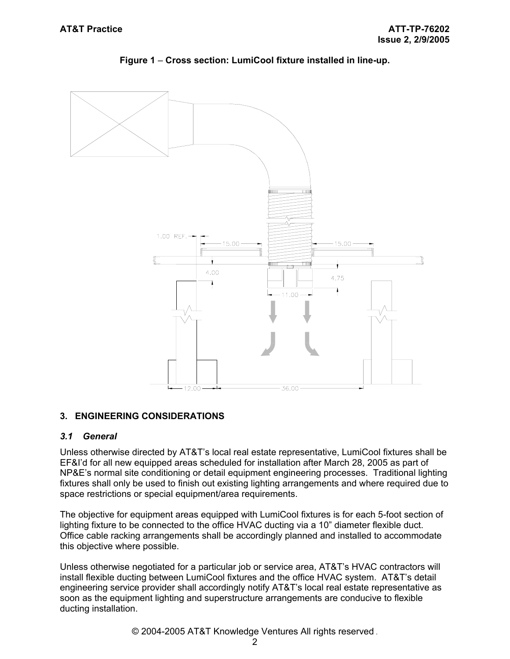

## **Figure 1** – **Cross section: LumiCool fixture installed in line-up.**

## **3. ENGINEERING CONSIDERATIONS**

#### *3.1 General*

Unless otherwise directed by AT&T's local real estate representative, LumiCool fixtures shall be EF&I'd for all new equipped areas scheduled for installation after March 28, 2005 as part of NP&E's normal site conditioning or detail equipment engineering processes. Traditional lighting fixtures shall only be used to finish out existing lighting arrangements and where required due to space restrictions or special equipment/area requirements.

The objective for equipment areas equipped with LumiCool fixtures is for each 5-foot section of lighting fixture to be connected to the office HVAC ducting via a 10" diameter flexible duct. Office cable racking arrangements shall be accordingly planned and installed to accommodate this objective where possible.

Unless otherwise negotiated for a particular job or service area, AT&T's HVAC contractors will install flexible ducting between LumiCool fixtures and the office HVAC system. AT&T's detail engineering service provider shall accordingly notify AT&T's local real estate representative as soon as the equipment lighting and superstructure arrangements are conducive to flexible ducting installation.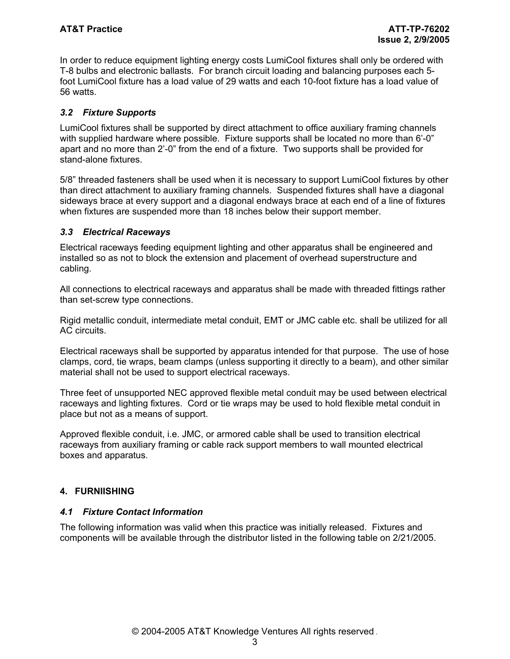In order to reduce equipment lighting energy costs LumiCool fixtures shall only be ordered with T-8 bulbs and electronic ballasts. For branch circuit loading and balancing purposes each 5 foot LumiCool fixture has a load value of 29 watts and each 10-foot fixture has a load value of 56 watts.

#### *3.2 Fixture Supports*

LumiCool fixtures shall be supported by direct attachment to office auxiliary framing channels with supplied hardware where possible. Fixture supports shall be located no more than 6'-0" apart and no more than 2'-0" from the end of a fixture. Two supports shall be provided for stand-alone fixtures.

5/8" threaded fasteners shall be used when it is necessary to support LumiCool fixtures by other than direct attachment to auxiliary framing channels. Suspended fixtures shall have a diagonal sideways brace at every support and a diagonal endways brace at each end of a line of fixtures when fixtures are suspended more than 18 inches below their support member.

#### *3.3 Electrical Raceways*

Electrical raceways feeding equipment lighting and other apparatus shall be engineered and installed so as not to block the extension and placement of overhead superstructure and cabling.

All connections to electrical raceways and apparatus shall be made with threaded fittings rather than set-screw type connections.

Rigid metallic conduit, intermediate metal conduit, EMT or JMC cable etc. shall be utilized for all AC circuits.

Electrical raceways shall be supported by apparatus intended for that purpose. The use of hose clamps, cord, tie wraps, beam clamps (unless supporting it directly to a beam), and other similar material shall not be used to support electrical raceways.

Three feet of unsupported NEC approved flexible metal conduit may be used between electrical raceways and lighting fixtures. Cord or tie wraps may be used to hold flexible metal conduit in place but not as a means of support.

Approved flexible conduit, i.e. JMC, or armored cable shall be used to transition electrical raceways from auxiliary framing or cable rack support members to wall mounted electrical boxes and apparatus.

#### **4. FURNIISHING**

#### *4.1 Fixture Contact Information*

The following information was valid when this practice was initially released. Fixtures and components will be available through the distributor listed in the following table on 2/21/2005.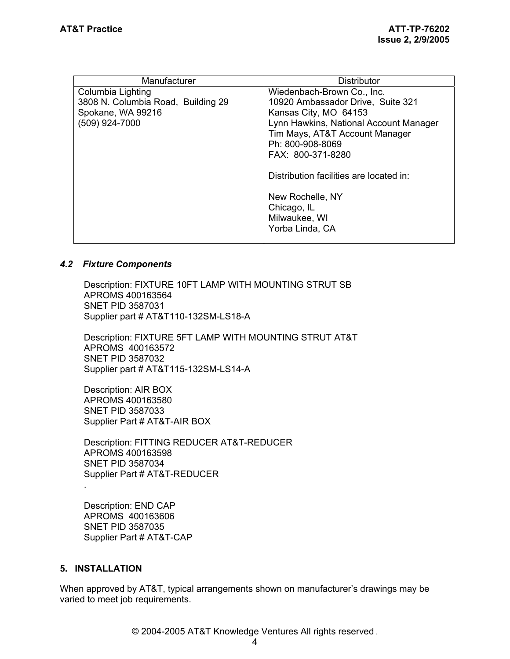| Manufacturer                                                                 | <b>Distributor</b>                                                                                                |  |
|------------------------------------------------------------------------------|-------------------------------------------------------------------------------------------------------------------|--|
| Columbia Lighting<br>3808 N. Columbia Road, Building 29<br>Spokane, WA 99216 | Wiedenbach-Brown Co., Inc.<br>10920 Ambassador Drive, Suite 321<br>Kansas City, MO 64153                          |  |
| (509) 924-7000                                                               | Lynn Hawkins, National Account Manager<br>Tim Mays, AT&T Account Manager<br>Ph: 800-908-8069<br>FAX: 800-371-8280 |  |
|                                                                              | Distribution facilities are located in:                                                                           |  |
|                                                                              | New Rochelle, NY<br>Chicago, IL<br>Milwaukee, WI<br>Yorba Linda, CA                                               |  |

#### *4.2 Fixture Components*

Description: FIXTURE 10FT LAMP WITH MOUNTING STRUT SB APROMS 400163564 SNET PID 3587031 Supplier part # AT&T110-132SM-LS18-A

Description: FIXTURE 5FT LAMP WITH MOUNTING STRUT AT&T APROMS 400163572 SNET PID 3587032 Supplier part # AT&T115-132SM-LS14-A

Description: AIR BOX APROMS 400163580 SNET PID 3587033 Supplier Part # AT&T-AIR BOX

Description: FITTING REDUCER AT&T-REDUCER APROMS 400163598 SNET PID 3587034 Supplier Part # AT&T-REDUCER .

Description: END CAP APROMS 400163606 SNET PID 3587035 Supplier Part # AT&T-CAP

#### **5. INSTALLATION**

When approved by AT&T, typical arrangements shown on manufacturer's drawings may be varied to meet job requirements.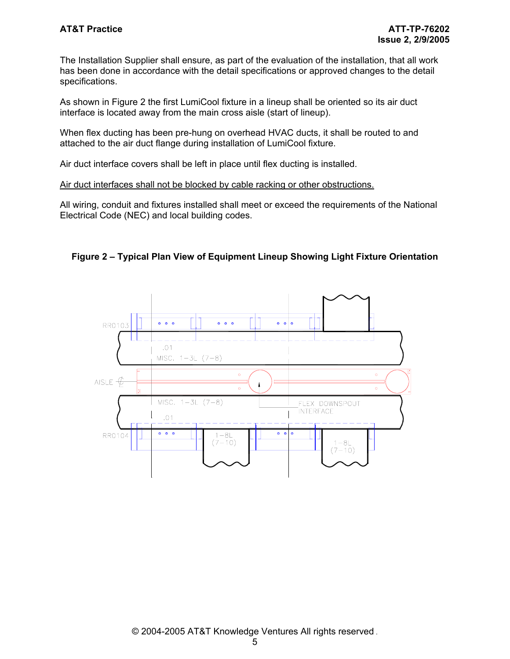The Installation Supplier shall ensure, as part of the evaluation of the installation, that all work has been done in accordance with the detail specifications or approved changes to the detail specifications.

As shown in Figure 2 the first LumiCool fixture in a lineup shall be oriented so its air duct interface is located away from the main cross aisle (start of lineup).

When flex ducting has been pre-hung on overhead HVAC ducts, it shall be routed to and attached to the air duct flange during installation of LumiCool fixture.

Air duct interface covers shall be left in place until flex ducting is installed.

Air duct interfaces shall not be blocked by cable racking or other obstructions.

All wiring, conduit and fixtures installed shall meet or exceed the requirements of the National Electrical Code (NEC) and local building codes.



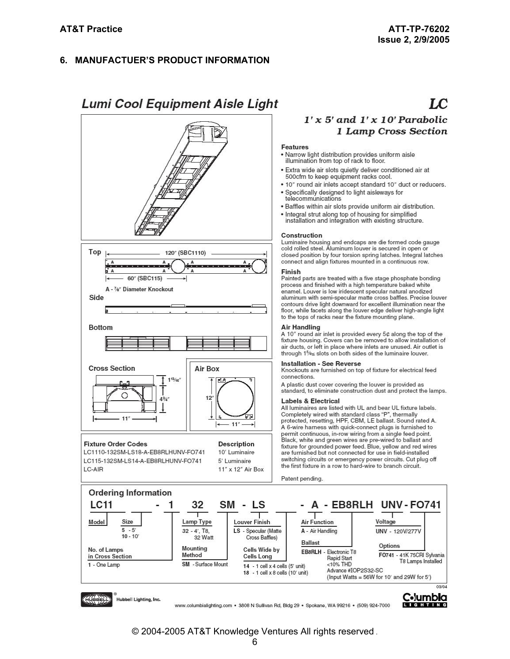#### 6. MANUFACTUER'S PRODUCT INFORMATION

## **Lumi Cool Equipment Aisle Light**



## $LC$

### $1'x 5'$  and  $1'x 10'$  Parabolic 1 Lamp Cross Section

#### **Features**

- . Narrow light distribution provides uniform aisle illumination from top of rack to floor.
- · Extra wide air slots quietly deliver conditioned air at 500cfm to keep equipment racks cool.
- . 10" round air inlets accept standard 10" duct or reducers.
- · Specifically designed to light aisleways for<br>telecommunications
- · Baffles within air slots provide uniform air distribution.
- 
- Integral strut along top of housing for simplified<br>installation and integration with existing structure.

#### Construction

Luminaire housing and endcaps are die formed code gauge<br>cold rolled steel. Aluminum louver is secured in open or closed position by four torsion spring latches. Integral latches connect and align fixtures mounted in a continuous row.

#### Finish

Painted parts are treated with a five stage phosphate bonding process and finished with a high temperature baked white enamel. Louver is low iridescent specular natural anodized aluminum with semi-specular matte cross baffles. Precise louver<br>contours drive light downward for excellent illumination near the floor, while facets along the louver edge deliver high-angle light to the tops of racks near the fixture mounting plane.

#### **Air Handling**

A 10" round air inlet is provided every 5¢ along the top of the fixture housing. Covers can be removed to allow installation of air ducts, or left in place where inlets are unused. Air outlet is through 1%≤ slots on both sides of the luminaire louver.

#### **Installation - See Reverse**

Knockouts are furnished on top of fixture for electrical feed connections.

A plastic dust cover covering the louver is provided as standard, to eliminate construction dust and protect the lamps.

#### **Labels & Electrical**

All luminaires are listed with UL and bear UL fixture labels. Completely wired with standard class "P", thermally<br>protected, resetting, HPF, CBM, LE ballast. Sound rated A. A 6-wire harness with quick-connect plugs is furnished to permit continuous, in-row wiring from a single feed point.<br>Black, white and green wires are pre-wired to ballast and<br>fixture for grounded power feed. Blue, yellow and red wires are furnished but not connected for use in field-installed switching circuits or emergency power circuits. Cut plug off the first fixture in a row to hard-wire to branch circuit.

Patent pending.



www.columbialighting.com · 3808 N Sullivan Rd, Bldg 29 · Spokane, WA 99216 · (509) 924-7000